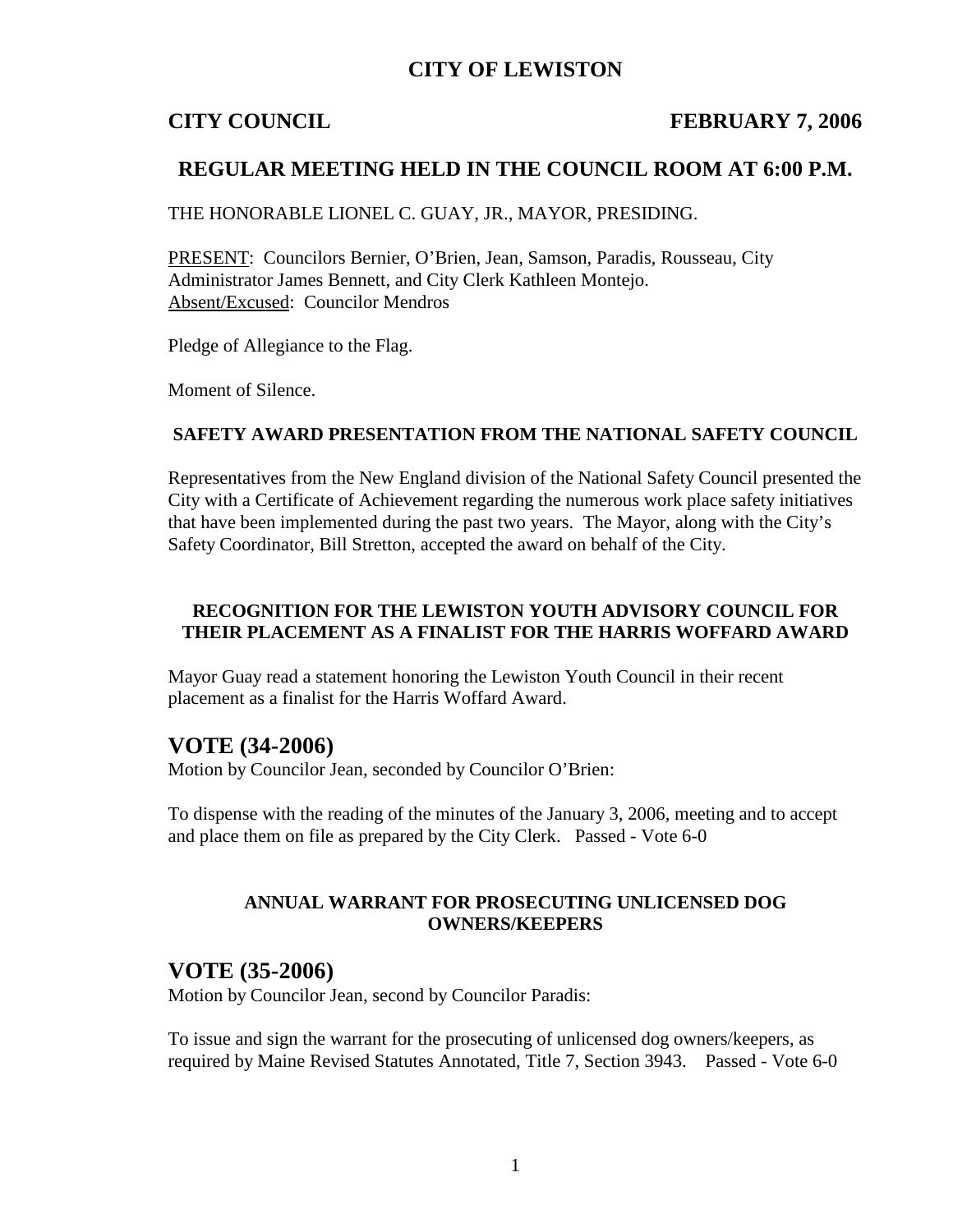## **CITY OF LEWISTON**

### **CITY COUNCIL FEBRUARY 7, 2006**

### **REGULAR MEETING HELD IN THE COUNCIL ROOM AT 6:00 P.M.**

THE HONORABLE LIONEL C. GUAY, JR., MAYOR, PRESIDING.

PRESENT: Councilors Bernier, O'Brien, Jean, Samson, Paradis, Rousseau, City Administrator James Bennett, and City Clerk Kathleen Montejo. Absent/Excused: Councilor Mendros

Pledge of Allegiance to the Flag.

Moment of Silence.

### **SAFETY AWARD PRESENTATION FROM THE NATIONAL SAFETY COUNCIL**

Representatives from the New England division of the National Safety Council presented the City with a Certificate of Achievement regarding the numerous work place safety initiatives that have been implemented during the past two years. The Mayor, along with the City's Safety Coordinator, Bill Stretton, accepted the award on behalf of the City.

### **RECOGNITION FOR THE LEWISTON YOUTH ADVISORY COUNCIL FOR THEIR PLACEMENT AS A FINALIST FOR THE HARRIS WOFFARD AWARD**

Mayor Guay read a statement honoring the Lewiston Youth Council in their recent placement as a finalist for the Harris Woffard Award.

### **VOTE (34-2006)**

Motion by Councilor Jean, seconded by Councilor O'Brien:

To dispense with the reading of the minutes of the January 3, 2006, meeting and to accept and place them on file as prepared by the City Clerk. Passed - Vote 6-0

### **ANNUAL WARRANT FOR PROSECUTING UNLICENSED DOG OWNERS/KEEPERS**

### **VOTE (35-2006)**

Motion by Councilor Jean, second by Councilor Paradis:

To issue and sign the warrant for the prosecuting of unlicensed dog owners/keepers, as required by Maine Revised Statutes Annotated, Title 7, Section 3943. Passed - Vote 6-0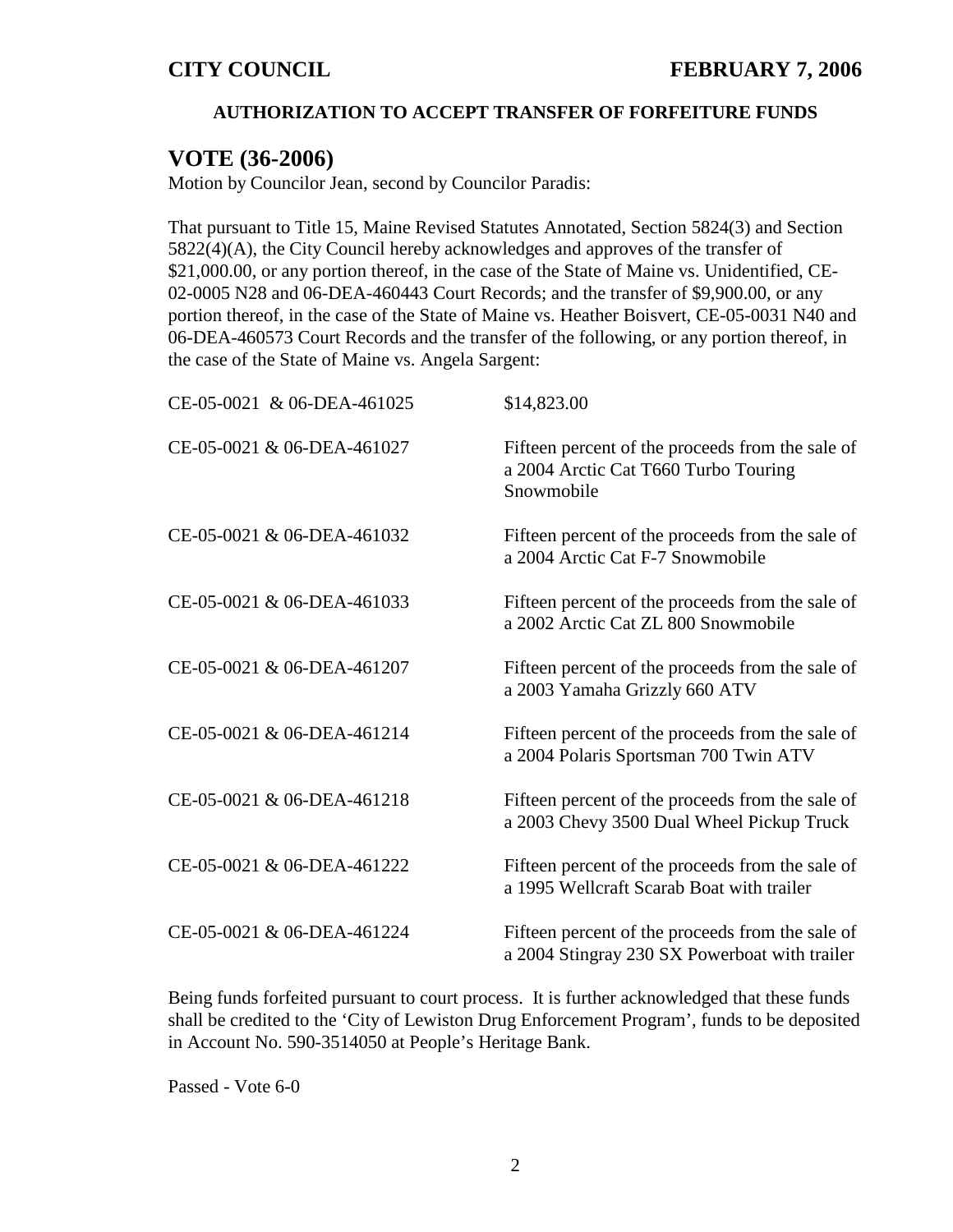### **AUTHORIZATION TO ACCEPT TRANSFER OF FORFEITURE FUNDS**

## **VOTE (36-2006)**

Motion by Councilor Jean, second by Councilor Paradis:

That pursuant to Title 15, Maine Revised Statutes Annotated, Section 5824(3) and Section 5822(4)(A), the City Council hereby acknowledges and approves of the transfer of \$21,000.00, or any portion thereof, in the case of the State of Maine vs. Unidentified, CE-02-0005 N28 and 06-DEA-460443 Court Records; and the transfer of \$9,900.00, or any portion thereof, in the case of the State of Maine vs. Heather Boisvert, CE-05-0031 N40 and 06-DEA-460573 Court Records and the transfer of the following, or any portion thereof, in the case of the State of Maine vs. Angela Sargent:

| CE-05-0021 & 06-DEA-461025 | \$14,823.00                                                                                            |
|----------------------------|--------------------------------------------------------------------------------------------------------|
| CE-05-0021 & 06-DEA-461027 | Fifteen percent of the proceeds from the sale of<br>a 2004 Arctic Cat T660 Turbo Touring<br>Snowmobile |
| CE-05-0021 & 06-DEA-461032 | Fifteen percent of the proceeds from the sale of<br>a 2004 Arctic Cat F-7 Snowmobile                   |
| CE-05-0021 & 06-DEA-461033 | Fifteen percent of the proceeds from the sale of<br>a 2002 Arctic Cat ZL 800 Snowmobile                |
| CE-05-0021 & 06-DEA-461207 | Fifteen percent of the proceeds from the sale of<br>a 2003 Yamaha Grizzly 660 ATV                      |
| CE-05-0021 & 06-DEA-461214 | Fifteen percent of the proceeds from the sale of<br>a 2004 Polaris Sportsman 700 Twin ATV              |
| CE-05-0021 & 06-DEA-461218 | Fifteen percent of the proceeds from the sale of<br>a 2003 Chevy 3500 Dual Wheel Pickup Truck          |
| CE-05-0021 & 06-DEA-461222 | Fifteen percent of the proceeds from the sale of<br>a 1995 Wellcraft Scarab Boat with trailer          |
| CE-05-0021 & 06-DEA-461224 | Fifteen percent of the proceeds from the sale of<br>a 2004 Stingray 230 SX Powerboat with trailer      |

Being funds forfeited pursuant to court process. It is further acknowledged that these funds shall be credited to the 'City of Lewiston Drug Enforcement Program', funds to be deposited in Account No. 590-3514050 at People's Heritage Bank.

Passed - Vote 6-0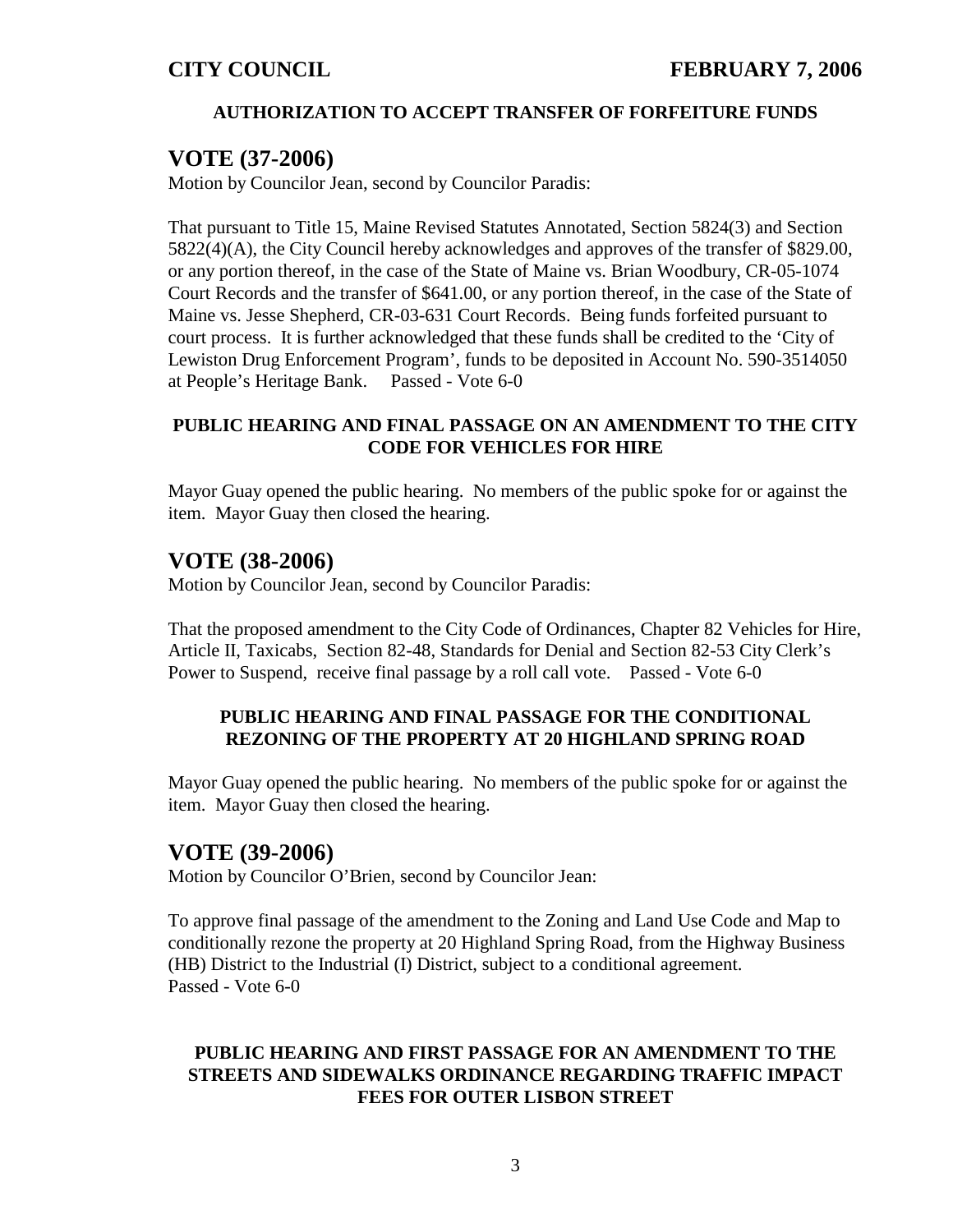### **AUTHORIZATION TO ACCEPT TRANSFER OF FORFEITURE FUNDS**

### **VOTE (37-2006)**

Motion by Councilor Jean, second by Councilor Paradis:

That pursuant to Title 15, Maine Revised Statutes Annotated, Section 5824(3) and Section 5822(4)(A), the City Council hereby acknowledges and approves of the transfer of \$829.00, or any portion thereof, in the case of the State of Maine vs. Brian Woodbury, CR-05-1074 Court Records and the transfer of \$641.00, or any portion thereof, in the case of the State of Maine vs. Jesse Shepherd, CR-03-631 Court Records. Being funds forfeited pursuant to court process. It is further acknowledged that these funds shall be credited to the 'City of Lewiston Drug Enforcement Program', funds to be deposited in Account No. 590-3514050 at People's Heritage Bank. Passed - Vote 6-0

### **PUBLIC HEARING AND FINAL PASSAGE ON AN AMENDMENT TO THE CITY CODE FOR VEHICLES FOR HIRE**

Mayor Guay opened the public hearing. No members of the public spoke for or against the item. Mayor Guay then closed the hearing.

### **VOTE (38-2006)**

Motion by Councilor Jean, second by Councilor Paradis:

That the proposed amendment to the City Code of Ordinances, Chapter 82 Vehicles for Hire, Article II, Taxicabs, Section 82-48, Standards for Denial and Section 82-53 City Clerk's Power to Suspend, receive final passage by a roll call vote. Passed - Vote 6-0

### **PUBLIC HEARING AND FINAL PASSAGE FOR THE CONDITIONAL REZONING OF THE PROPERTY AT 20 HIGHLAND SPRING ROAD**

Mayor Guay opened the public hearing. No members of the public spoke for or against the item. Mayor Guay then closed the hearing.

### **VOTE (39-2006)**

Motion by Councilor O'Brien, second by Councilor Jean:

To approve final passage of the amendment to the Zoning and Land Use Code and Map to conditionally rezone the property at 20 Highland Spring Road, from the Highway Business (HB) District to the Industrial (I) District, subject to a conditional agreement. Passed - Vote 6-0

### **PUBLIC HEARING AND FIRST PASSAGE FOR AN AMENDMENT TO THE STREETS AND SIDEWALKS ORDINANCE REGARDING TRAFFIC IMPACT FEES FOR OUTER LISBON STREET**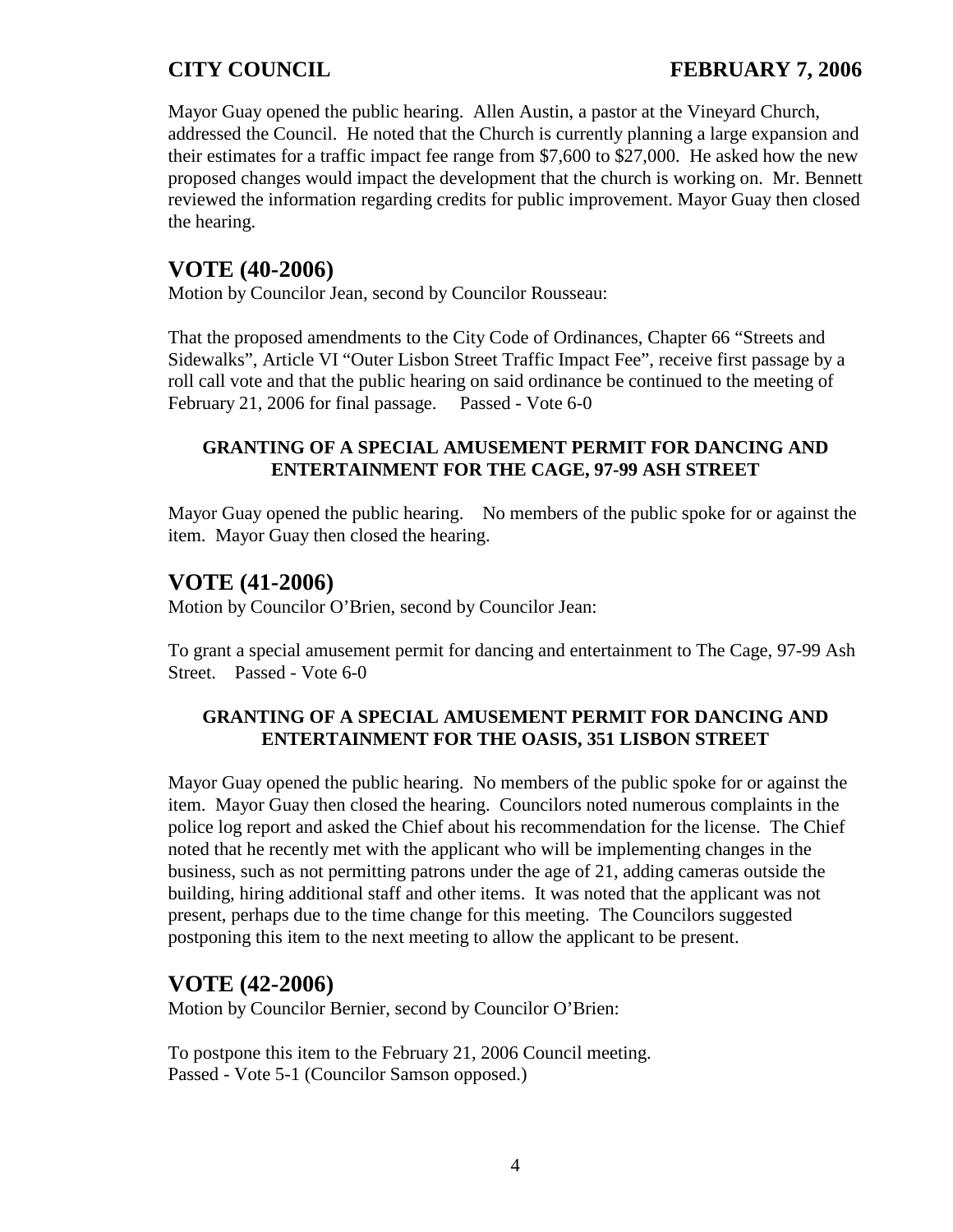Mayor Guay opened the public hearing. Allen Austin, a pastor at the Vineyard Church, addressed the Council. He noted that the Church is currently planning a large expansion and their estimates for a traffic impact fee range from \$7,600 to \$27,000. He asked how the new proposed changes would impact the development that the church is working on. Mr. Bennett reviewed the information regarding credits for public improvement. Mayor Guay then closed the hearing.

## **VOTE (40-2006)**

Motion by Councilor Jean, second by Councilor Rousseau:

That the proposed amendments to the City Code of Ordinances, Chapter 66 "Streets and Sidewalks", Article VI "Outer Lisbon Street Traffic Impact Fee", receive first passage by a roll call vote and that the public hearing on said ordinance be continued to the meeting of February 21, 2006 for final passage. Passed - Vote 6-0

### **GRANTING OF A SPECIAL AMUSEMENT PERMIT FOR DANCING AND ENTERTAINMENT FOR THE CAGE, 97-99 ASH STREET**

Mayor Guay opened the public hearing. No members of the public spoke for or against the item. Mayor Guay then closed the hearing.

## **VOTE (41-2006)**

Motion by Councilor O'Brien, second by Councilor Jean:

To grant a special amusement permit for dancing and entertainment to The Cage, 97-99 Ash Street. Passed - Vote 6-0

### **GRANTING OF A SPECIAL AMUSEMENT PERMIT FOR DANCING AND ENTERTAINMENT FOR THE OASIS, 351 LISBON STREET**

Mayor Guay opened the public hearing. No members of the public spoke for or against the item. Mayor Guay then closed the hearing. Councilors noted numerous complaints in the police log report and asked the Chief about his recommendation for the license. The Chief noted that he recently met with the applicant who will be implementing changes in the business, such as not permitting patrons under the age of 21, adding cameras outside the building, hiring additional staff and other items. It was noted that the applicant was not present, perhaps due to the time change for this meeting. The Councilors suggested postponing this item to the next meeting to allow the applicant to be present.

## **VOTE (42-2006)**

Motion by Councilor Bernier, second by Councilor O'Brien:

To postpone this item to the February 21, 2006 Council meeting. Passed - Vote 5-1 (Councilor Samson opposed.)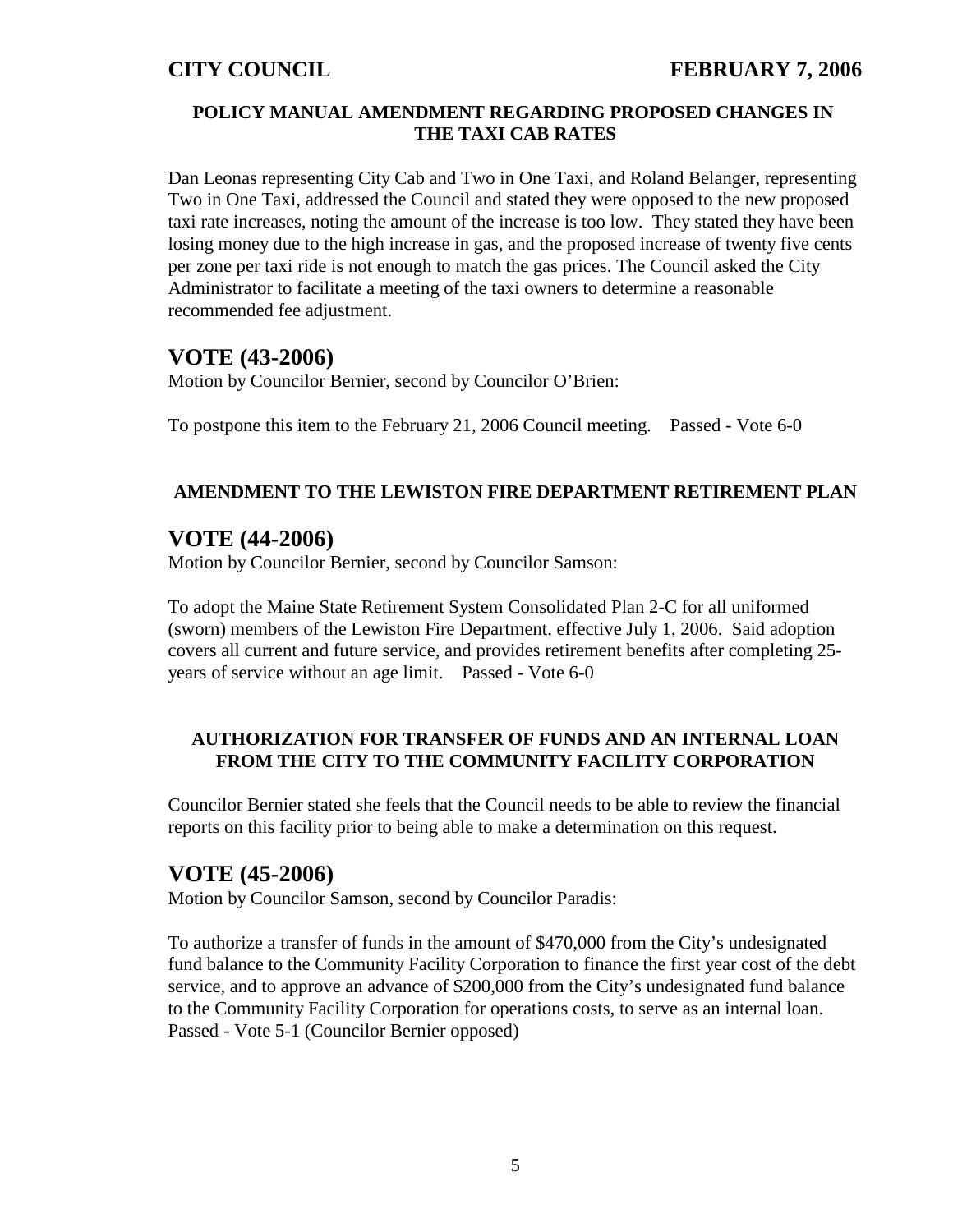### **POLICY MANUAL AMENDMENT REGARDING PROPOSED CHANGES IN THE TAXI CAB RATES**

Dan Leonas representing City Cab and Two in One Taxi, and Roland Belanger, representing Two in One Taxi, addressed the Council and stated they were opposed to the new proposed taxi rate increases, noting the amount of the increase is too low. They stated they have been losing money due to the high increase in gas, and the proposed increase of twenty five cents per zone per taxi ride is not enough to match the gas prices. The Council asked the City Administrator to facilitate a meeting of the taxi owners to determine a reasonable recommended fee adjustment.

## **VOTE (43-2006)**

Motion by Councilor Bernier, second by Councilor O'Brien:

To postpone this item to the February 21, 2006 Council meeting. Passed - Vote 6-0

### **AMENDMENT TO THE LEWISTON FIRE DEPARTMENT RETIREMENT PLAN**

## **VOTE (44-2006)**

Motion by Councilor Bernier, second by Councilor Samson:

To adopt the Maine State Retirement System Consolidated Plan 2-C for all uniformed (sworn) members of the Lewiston Fire Department, effective July 1, 2006. Said adoption covers all current and future service, and provides retirement benefits after completing 25 years of service without an age limit. Passed - Vote 6-0

### **AUTHORIZATION FOR TRANSFER OF FUNDS AND AN INTERNAL LOAN FROM THE CITY TO THE COMMUNITY FACILITY CORPORATION**

Councilor Bernier stated she feels that the Council needs to be able to review the financial reports on this facility prior to being able to make a determination on this request.

## **VOTE (45-2006)**

Motion by Councilor Samson, second by Councilor Paradis:

To authorize a transfer of funds in the amount of \$470,000 from the City's undesignated fund balance to the Community Facility Corporation to finance the first year cost of the debt service, and to approve an advance of \$200,000 from the City's undesignated fund balance to the Community Facility Corporation for operations costs, to serve as an internal loan. Passed - Vote 5-1 (Councilor Bernier opposed)